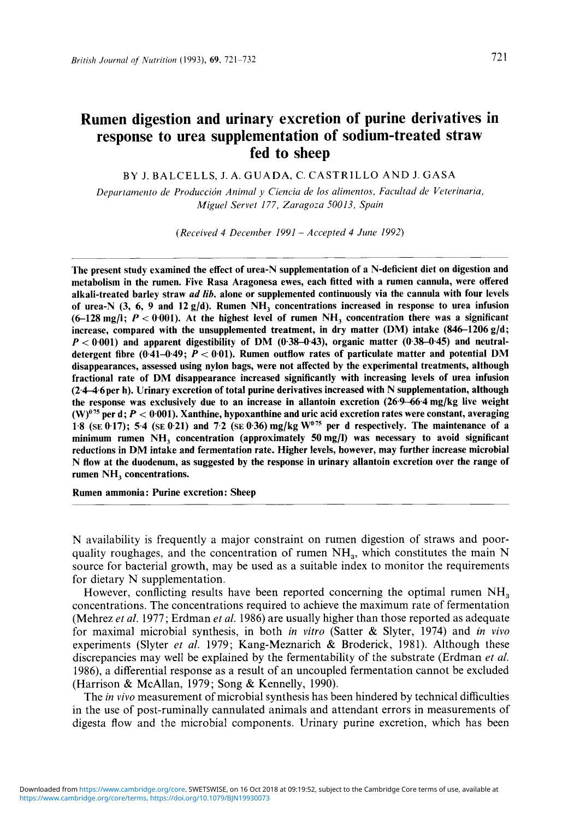# Rumen digestion and urinary excretion of purine derivatives in response to urea supplementation of sodium-treated straw fed to sheep

BY J. BALCELLS, J. A. GUADA, C. CASTRILLO AND J. GASA

*Depurtamento de Produccidn Animal y Cienciu de 105 alimento5, Fac ultad de Veterinariu, Miguel Servet 177, Zaragoza 50013, Spain* 

*(Received 4 December 1991* - *Accepted 4 June 1992)* 

The present study examined the effect of urea-N supplementation of a N-deficient diet on digestion and metabolism in the rumen. Five Rasa Aragonesa ewes, each fitted with a rumen cannula, were offered alkali-treated barley straw *ad lib*. alone or supplemented continuously via the cannula with four levels of urea-N  $(3, 6, 9,$  and  $12g/d)$ . Rumen NH<sub>3</sub> concentrations increased in response to urea infusion  $(6-128 \text{ mg/l}; P < 0.001)$ . At the highest level of rumen NH<sub>3</sub> concentration there was a significant increase, compared with the unsupplemented treatment, in dry matter (DM) intake  $(846-1206 \text{ g/d})$ ;  $P < 0.001$ ) and apparent digestibility of DM  $(0.38-0.43)$ , organic matter  $(0.38-0.45)$  and neutraldetergent fibre (0.41-0.49; *P* < 0.01). Rumen outflow rates of particulate matter and potential **DM**  disappearances, assessed using nylon bags, were not affected by the experimental treatments, although fractional rate of DM disappearance increased significantly with increasing levels of urea infusion (2446per h). Urinary excretion of total purine derivatives increased with N supplementation, although the response was exclusively due to an increase in allantoin excretion (26.9-66.4 mg/kg live weight  $(W)^{0.75}$  per d;  $P < 0.001$ ). Xanthine, hypoxanthine and uric acid excretion rates were constant, averaging **1.8 (SE** 0.17); 5.4 (SE 0.21) and 7.2 (SE 0.36) mg/kg **W07s** per d respectively. The maintenance of a minimum rumen  $NH_3$  concentration (approximately 50 mg/l) was necessary to avoid significant reductions in DM intake and fermentation rate. Higher levels, however, may further increase microbial N flow at the duodenum, as suggested by the response in urinary allantoin excretion over the range of rumen NH, concentrations.

Rumen ammonia: Purine excretion: Sheep

N availability is frequently a major constraint on rumen digestion of straws and poorquality roughages, and the concentration of rumen  $NH<sub>a</sub>$ , which constitutes the main N source for bacterial growth, may be used as a suitable index to monitor the requirements for dietary N supplementation.

However, conflicting results have been reported concerning the optimal rumen NH, concentrations. The concentrations required to achieve the maximum rate of fermentation (Mehrez *et al.* 1977; Erdman *et al.* 1986) are usually higher than those reported as adequate for maximal microbial synthesis, in both in vim (Satter & Slyter, 1974) and *in vivo*  experiments (Slyter *et al.* 1979; Kang-Meznarich & Broderick, 1981). Although these discrepancies may well be explained by the fermentability of the substrate (Erdman *et al.*  1986), a differential response as a result of an uncoupled fermentation cannot be excluded (Harrison & McAllan, 1979; Song & Kennelly, 1990).

The *in vivo* measurement of microbial synthesis has been hindered by technical difficulties in the use of post-ruminally cannulated animals and attendant errors in measurements of digesta flow and the microbial components. Urinary purine excretion, which has been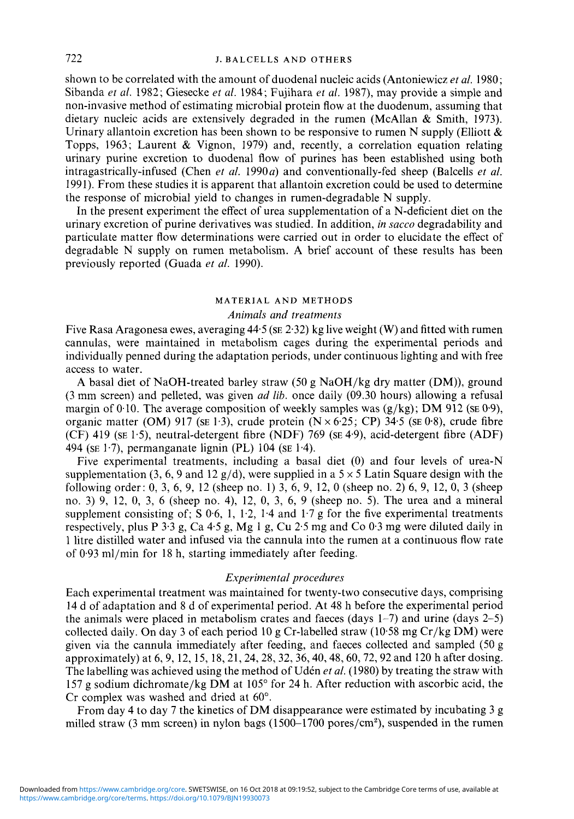## 722 **J. BALCELLS AND OTHERS**

shown to be correlated with the amount of duodenal nucleic acids (Antoniewicz *et al.* 1980; Sibanda *et (11.* 1982; Giesecke *et at.* 1984; Fujihara *et* af. 1987), may provide a simple and non-invasive method of estimating microbial protein flow at the duodenum, assuming that dietary nucleic acids are extensively degraded in the rumen (McAllan & Smith, 1973). Urinary allantoin excretion has been shown to be responsive to rumen N supply (Elliott  $\&$ Topps, 1963; Laurent & Vignon, 1979) and, recently, a correlation equation relating urinary purine excretion to duodenal flow of purines has been established using both intragastrically-infused (Chen *et al.* 1990*a*) and conventionally-fed sheep (Balcells *et al.* 1991). From these studies it is apparent that allantoin excretion could be used to determine the response of microbial yield to changes in rumen-degradable N supply.

In the present experiment the effect of urea supplementation of a N-deficient diet on the urinary excretion of purine derivatives was studied. In addition, *in succo* degradability and particulate matter flow determinations were carried out in order *to* elucidate the effect of degradable N supply on rumen metabolism. A brief account of these results has been previously reported (Guada *et al.* 1990).

#### **MATERIAL AND METHODS**

## *Animals and treatments*

Five Rasa Aragonesa ewes, averaging 44.5 **(SE** 2.32) kg live weight **(W)** and fitted with rumen cannulas, were maintained in metabolism cages during the experimental periods and individually penned during the adaptation periods, under continuous lighting and with free access to water.

**A** basal diet of NaOH-treated barley straw (50 g NaOH/kg dry matter (DM)), ground *(3* mm screen) and pelleted, was given ad *lib.* once daily (09.30 hours) allowing a refusal margin of 0.10. The average composition of weekly samples was (g/kg); DM 912 **(SE** 0-9), organic matter (OM) 917 (se  $1.3$ ), crude protein (N  $\times$  6.25; CP) 34.5 (se 0.8), crude fibre (CF) 419 **(SE** 1.5), neutral-detergent fibre (NDF) 769 **(SE** 4.9), acid-detergent fibre (ADF) 494 **(SE** 1.7), permanganate lignin (PL) 104 **(SE** 1.4).

Five experimental treatments, including a basal diet (0) and four levels of urea-N supplementation (3, 6, 9 and 12 g/d), were supplied in a  $5 \times 5$  Latin Square design with the following order: 0, 3, 6, 9, 12 (sheep no. 1) 3, 6, 9, 12, 0 (sheep no. 2) 6, 9, 12, 0, 3 (sheep no. 3) 9, 12, 0, **3,** 6 (sheep no. 4), 12, 0, 3, 6, 9 (sheep no. 5). The urea and a mineral supplement consisting of:  $S\ 0.6$ , 1, 1.2, 1.4 and 1.7 g for the five experimental treatments respectively, plus P  $3.3$  g, Ca  $4.5$  g, Mg 1 g, Cu  $2.5$  mg and Co  $0.3$  mg were diluted daily in 1 litre distilled water and infused via the cannula into the rumen at a continuous flow rate of 0.93 ml/min for 18 h, starting immediately after feeding.

#### *Experimental procedures*

Each experimental treatment was maintained for twenty-two consecutive days, comprising 14 d of adaptation and 8 d of experimental period. At 48 h before the experimental period the animals were placed in metabolism crates and faeces (days 1-7) and urine (days 2-5) collected daily. On day 3 of each period 10 g Cr-labelled straw (10.58 mg Cr/kg DM) were given via the cannula immediately after feeding, and faeces collected and sampled (50 g approximately) at 6,9, 12, 15, 18,21,24,28,32,36,40,48,60,72,92 and 120 h after dosing. The labelling was achieved using the method of Uden *et al.* (1980) by treating the straw with 157 g sodium dichromate/kg DM at 105" for 24 h. After reduction with ascorbic acid, the Cr complex was washed and dried at 60".

From day 4 to day 7 the kinetics of DM disappearance were estimated by incubating 3 g milled straw (3 mm screen) in nylon bags  $(1500-1700)$  pores/cm<sup>2</sup>), suspended in the rumen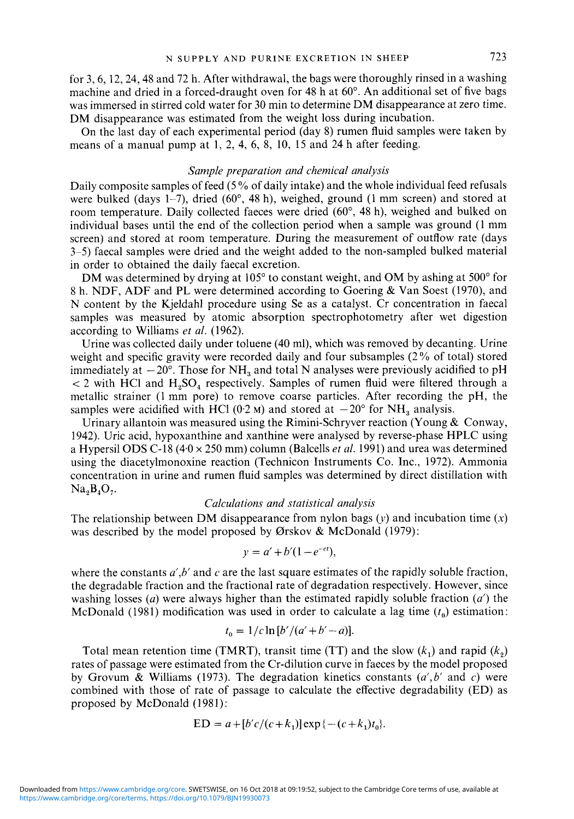for 3,6,12,24,48 and 72 h. After withdrawal, the bags were thoroughly rinsed in a washing machine and dried in a forced-draught oven for 48 h at  $60^{\circ}$ . An additional set of five bags was immersed in stirred cold water for 30 min to determine DM disappearance at zero time. DM disappearance was estimated from the weight loss during incubation.

On the last day of each experimental period (day 8) rumen fluid samples were taken by means of a manual pump at 1, 2, 4, 6, 8, 10, 15 and 24 h after feeding.

## *Sample preparation and chemical anulysis*

Daily composite samples of feed (5% of daily intake) and the whole individual feed refusals were bulked (days 1-7), dried ( $60^{\circ}$ , 48 h), weighed, ground (1 mm screen) and stored at room temperature. Daily collected faeces were dried (60", 48 h), weighed and bulked on individual bases until the end of the collection period when a sample was ground (1 mm screen) and stored at room temperature. During the measurement of outflow rate (days 3-5) faecal samples were dried and the weight added to the non-sampled bulked material in order to obtained the daily faecal excretion.

DM was determined by drying at 105 $^{\circ}$  to constant weight, and OM by ashing at 500 $^{\circ}$  for 8 h. NDF, ADF and PL were determined according to Goering & Van Soest (1970), and N content by the Kjeldahl procedure using Se as a catalyst. Cr concentration in faecal samples was measured by atomic absorption spectrophotometry after wet digestion according to Williams *et a/.* (1962).

Urine was collected daily under toluene (40 ml), which was removed by decanting. Urine weight and specific gravity were recorded daily and four subsamples (2% of total) stored immediately at  $-20^{\circ}$ . Those for NH<sub>3</sub> and total N analyses were previously acidified to pH  $<$  2 with HCl and H<sub>2</sub>SO<sub>4</sub> respectively. Samples of rumen fluid were filtered through a metallic strainer (1 mm pore) to remove coarse particles. After recording the pH, the samples were acidified with HCl (0.2 M) and stored at  $-20^{\circ}$  for NH<sub>2</sub> analysis.

Urinary allantoin was measured using the Rimini-Schryver reaction (Young  $\&$  Conway, 1942). Uric acid, hypoxanthine and xanthine were analysed by reverse-phase HPLC using a Hypersil ODS C-18 (4.0 x 250 mm) column (Balcells *et al.* 1991) and urea was determined using the diacetylmonoxine reaction (Technicon Instruments Co. Inc., 1972). Ammonia concentration in urine and rumen fluid samples was determined by direct distillation with  $Na<sub>3</sub>B<sub>4</sub>O<sub>7</sub>$ .

#### *Calculations and statistical analysis*

The relationship between DM disappearance from nylon bags  $(y)$  and incubation time  $(x)$ was described by the model proposed by Ørskov & McDonald (1979):<br> $y = a' + b'(1 - e^{-ct})$ ,

$$
y = a' + b'(1 - e^{-ct}),
$$

where the constants  $a', b'$  and c are the last square estimates of the rapidly soluble fraction, the degradable fraction and the fractional rate of degradation respectively. However, since washing losses *(a)* were always higher than the estimated rapidly soluble fraction *(a')* the McDonald (1981) modification was used in order to calculate a lag time  $(t_0)$  estimation:<br> $t_0 = 1/c \ln [b'/(a'+b'-a)].$ 

$$
t_0 = 1/c \ln [b'/(a'+b'-a)].
$$

Total mean retention time (TMRT), transit time (TT) and the slow  $(k_1)$  and rapid  $(k_2)$ rates of passage were estimated from the Cr-dilution curve in faeces by the model proposed by Grovum & Williams (1973). The degradation kinetics constants *(a',b'* and c) were combined with those of rate of passage to calculate the effective degradability (ED) as proposed by McDonald (1981):

ED = 
$$
a + [b'c/(c + k_1)] \exp\{-(c + k_1)t_0\}.
$$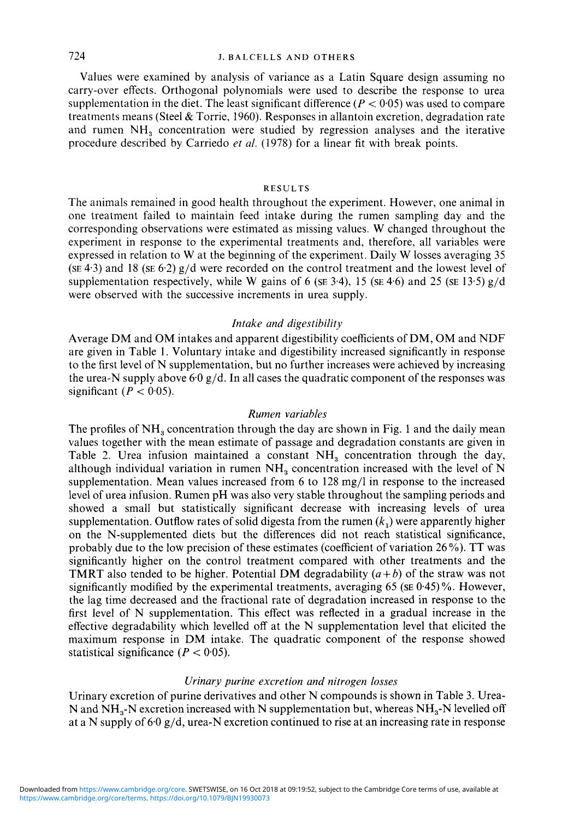## 724 **J. BALCELLS AND OTHERS**

Values were examined by analysis of variance as a Latin Square design assuming no carry-over effects. Orthogonal polynomials were used to describe the response to urea supplementation in the diet. The least significant difference  $(P < 0.05)$  was used to compare treatments means (Steel & Torrie, 1960). Responses in allantoin excretion, degradation rate and rumen  $NH<sub>3</sub>$  concentration were studied by regression analyses and the iterative procedure described by Carriedo *et al.* (1978) for a linear fit with break points.

#### **RESULTS**

The animals remained in good health throughout the experiment. However, one animal in one treatment failed to maintain feed intake during the rumen sampling day and the corresponding observations were estimated as missing values. W changed throughout the experiment in response to the experimental treatments and, therefore, all variables were expressed in relation to W at the beginning of the experiment. Daily W losses averaging 35 **(SE** 4.3) and 18 **(SE** 6.2) g/d were recorded on the control treatment and the lowest level of supplementation respectively, while W gains of 6 (se  $3.4$ ), 15 (se  $4.6$ ) and 25 (se  $13.5$ ) g/d were observed with the successive increments in urea supply.

## *Intake and digestibility*

Average DM and OM intakes and apparent digestibility coefficients of DM, OM and NDF are given in Table 1. Voluntary intake and digestibility increased significantly in response to the first level of N supplementation, but no further increases were achieved by increasing the urea-N supply above 6.0  $g/d$ . In all cases the quadratic component of the responses was significant  $(P < 0.05)$ .

#### *Rumen variables*

The profiles of NH<sub>2</sub> concentration through the day are shown in Fig. 1 and the daily mean values together with the mean estimate of passage and degradation constants are given in Table 2. Urea infusion maintained a constant  $NH<sub>3</sub>$  concentration through the day, although individual variation in rumen  $NH<sub>a</sub>$  concentration increased with the level of N supplementation. Mean values increased from 6 to 128 mg/l in response to the increased level of urea infusion. Rumen pH was also very stable throughout the sampling periods and showed a small but statistically significant decrease with increasing levels of urea supplementation. Outflow rates of solid digesta from the rumen  $(k<sub>1</sub>)$  were apparently higher on the N-supplemented diets but the differences did not reach statistical significance, probably due to the low precision of these estimates (coefficient of variation 26 *YO).* TT was significantly higher on the control treatment compared with other treatments and the **TMRT** also tended to be higher. Potential DM degradability  $(a+b)$  of the straw was not significantly modified by the experimental treatments, averaging 65 **(SE** 0.45) %. However, the lag time decreased and the fractional rate of degradation increased in response to the first level of N supplementation. This effect was reflected in a gradual increase in the effective degradability which levelled off at the N supplementation level that elicited the maximum response in DM intake. The quadratic component of the response showed statistical significance  $(P < 0.05)$ .

#### *Urinary purine excretion and nitrogen losses*

Urinary excretion of purine derivatives and other N compounds is shown in Table 3. Urea-N and  $NH<sub>3</sub>-N$  excretion increased with N supplementation but, whereas  $NH<sub>3</sub>-N$  levelled off at a N supply of  $6.0 \text{ g/d}$ , urea-N excretion continued to rise at an increasing rate in response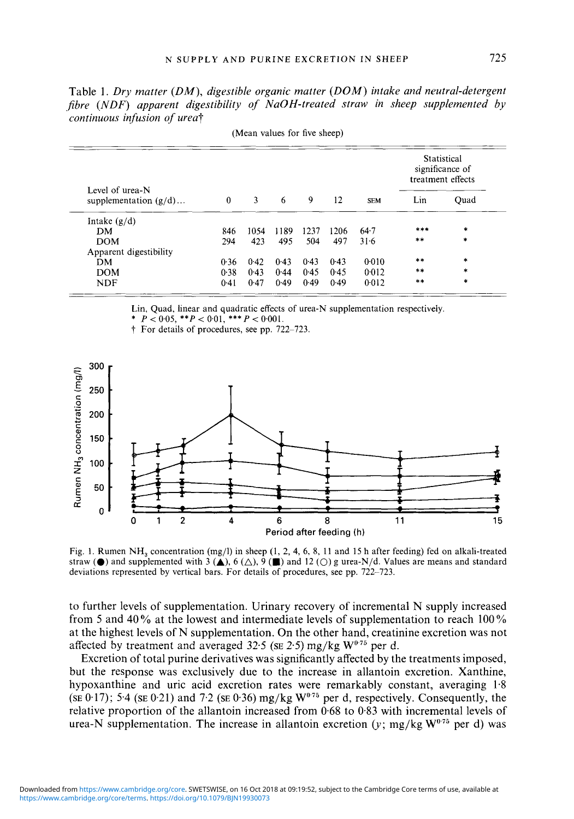Table 1. *Dry matter (DM), digestible organic matter (DOM) intake and neutral-detergent fibre (NDF) apparent digestibility of NaOH-treated straw in sheep supplemented by continuous infusion of urea?* 

| Level of urea-N<br>supplementation $(g/d)$ | $\theta$ | 3    | 6    | 9    | 12   | <b>SEM</b> | Statistical<br>significance of<br>treatment effects |           |
|--------------------------------------------|----------|------|------|------|------|------------|-----------------------------------------------------|-----------|
|                                            |          |      |      |      |      |            | Lin                                                 | Ouad      |
| Intake $(g/d)$                             |          |      |      |      |      |            |                                                     |           |
| DМ                                         | 846      | 1054 | 1189 | 1237 | 1206 | $64 - 7$   | ***                                                 | $\ast$    |
| <b>DOM</b>                                 | 294      | 423  | 495  | 504  | 497  | $31-6$     | **                                                  | $\ast$    |
| Apparent digestibility                     |          |      |      |      |      |            |                                                     |           |
| DM.                                        | 0.36     | 0.42 | 0.43 | 0.43 | 0.43 | 0.010      | **                                                  | $\ast$    |
| <b>DOM</b>                                 | 0.38     | 0.43 | 0.44 | 0.45 | 0.45 | 0.012      | $***$                                               | $\ast$    |
| <b>NDF</b>                                 | 0.41     | 0.47 | 0.49 | 0.49 | 0.49 | 0.012      | $* *$                                               | $\bullet$ |

(Mean values for five sheep)

Lin, Quad, linear and quadratic effects of urea-N supplementation respectively.

\*  $P < 0.05$ , \*\* $P < 0.01$ , \*\*\* $P < 0.001$ .

t For details of procedures, see pp. 722-723.



Fig. 1. Rumen NH, concentration (mg/l) in sheep (1, 2, 4, 6, 8, 11 and 15 h after feeding) fed on alkali-treated straw  $\bullet$  and supplemented with 3  $\bullet$ , 6  $\circ$ , 9  $\bullet$  and 12  $\circ$  g urea-N/d. Values are means and standard deviations represented by vertical bars. For details of procedures, see pp. 722-723.

to further levels of supplementation. Urinary recovery of incremental N supply increased from 5 and 40% at the lowest and intermediate levels of supplementation to reach 100% at the highest levels of N supplementation. On the other hand, creatinine excretion was not affected by treatment and averaged  $32.5$  (se 2.5) mg/kg  $W^{0.75}$  per d.

Excretion of total purine derivatives was significantly affected by the treatments imposed, but the response was exclusively due to the increase in allantoin excretion. Xanthine, hypoxanthine and uric acid excretion rates were remarkably constant, averaging **1.8**   $(\text{SE } 0.17)$ ; 5.4 ( $\text{SE } 0.21$ ) and 7.2 ( $\text{SE } 0.36$ ) mg/kg  $\text{W}^{0.75}$  per d, respectively. Consequently, the relative proportion of the allantoin increased from 0.68 to **0.83** with incremental levels of urea-N supplementation. The increase in allantoin excretion (y; mg/kg **W0'75** per d) was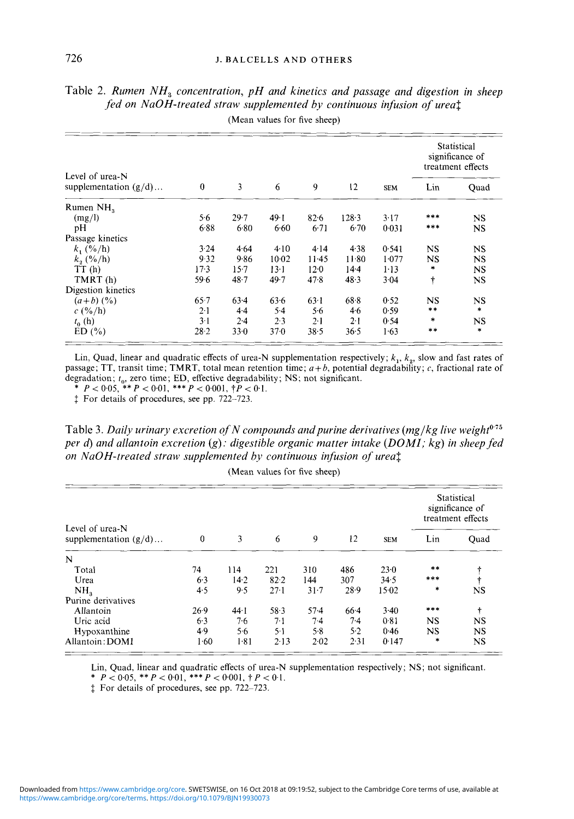| Level of urea-N<br>supplementation $(g/d)$ | $\bf{0}$ | 3        | 6       | 9               | 12          | <b>SEM</b> | Statistical<br>significance of<br>treatment effects |           |
|--------------------------------------------|----------|----------|---------|-----------------|-------------|------------|-----------------------------------------------------|-----------|
|                                            |          |          |         |                 |             |            | Lin                                                 | Quad      |
| Rumen NH <sub>2</sub>                      |          |          |         |                 |             |            |                                                     |           |
| (mg/l)                                     | 5.6      | 29.7     | 49.1    | 826             | $128-3$     | 3.17       | ***                                                 | NS.       |
| pH                                         | 6.88     | 6.80     | 6.60    | 6.71            | 6.70        | 0.031      | ***                                                 | <b>NS</b> |
| Passage kinetics                           |          |          |         |                 |             |            |                                                     |           |
| $k_1$ (%/h)                                | 3.24     | 4.64     | 4.10    | 4.14            | 4.38        | 0.541      | NS                                                  | NS        |
| $k_{2}$ (%/h)                              | 9.32     | 9.86     | $10-02$ | $11-45$         | 11.80       | 1.077      | NS                                                  | NS        |
| TT(h)                                      | $17-3$   | 157      | $13-1$  | $12 - 0$        | $14 - 4$    | $1-13$     | $\ast$                                              | <b>NS</b> |
| TMRT(h)                                    | 59-6     | $48 - 7$ | 49.7    | 478             | 48.3        | 3.04       | $\ddagger$                                          | NS        |
| Digestion kinetics                         |          |          |         |                 |             |            |                                                     |           |
| $(a+b)$ $(\frac{9}{6})$                    | 65.7     | 63.4     | 63.6    | 63 <sup>1</sup> | 68.8        | 0.52       | NS                                                  | <b>NS</b> |
| $c($ %/h)                                  | $2-1$    | $4-4$    | $5-4$   | 5.6             | 4.6         | 0.59       | $***$                                               | $\ast$    |
| $t_0$ (h)                                  | $3-1$    | 2.4      | 2.3     | $2 - 1$         | $2 \cdot 1$ | 0.54       | $\ddagger$                                          | <b>NS</b> |
| ED(%)                                      | $28 - 2$ | 33.0     | 37.0    | 38.5            | 36.5        | 1.63       | $* *$                                               | $\ast$    |

Table 2. *Rumen NH*<sub>3</sub> concentration, *pH* and kinetics and passage and digestion in sheep fed on NaOH-treated straw supplemented by continuous infusion of ureat (Mean values for five sheep) *fed on NaOH-treated straw supplemented by continuous infusion of urea\$*  (Mean values for five sheep)

\*  $P < 0.05$ , \*\*  $P < 0.01$ , \*\*\*  $P < 0.001$ ,  $\dagger P < 0.1$ .

 $\ddagger$  For details of procedures, see pp. 722-723.

Table 3. Daily urinary excretion of N compounds and purine derivatives (mg/kg live weight<sup>o-75</sup> *per* d) *and allantoin excretion (g): digestible organic matter intake (DOMI; kg) in sheep fed on NaOH-treated straw supplemented by continuous infusion of urea<sup>†</sup>* 

| Level of urea-N<br>supplementation $(g/d)$ |              | 3    | 6        | 9        | 12     | <b>SEM</b> | Statistical<br>significance of<br>treatment effects |           |
|--------------------------------------------|--------------|------|----------|----------|--------|------------|-----------------------------------------------------|-----------|
|                                            | $\mathbf{0}$ |      |          |          |        |            | Lin                                                 | Quad      |
| $\mathbf N$                                |              |      |          |          |        |            |                                                     |           |
| Total                                      | 74           | 114  | 221      | 310      | 486    | 23.0       | **                                                  |           |
| Urea                                       | 6.3          | 14.2 | 82.2     | 144      | 307    | 34.5       | ***                                                 |           |
| NH <sub>3</sub>                            | 4.5          | 9.5  | $27-1$   | $31 - 7$ | 28.9   | 15.02      | $\ast$                                              | NS        |
| Purine derivatives                         |              |      |          |          |        |            |                                                     |           |
| Allantoin                                  | 26.9         | 44.1 | 58.3     | $57-4$   | $66-4$ | 3.40       | $***$                                               | $\ddot{}$ |
| Uric acid                                  | 6.3          | 7.6  | $7-1$    | $7-4$    | $7-4$  | 0.81       | <b>NS</b>                                           | NS        |
| Hypoxanthine                               | 4.9          | 56   | $5-1$    | 5.8      | 5.2    | 0.46       | NS                                                  | <b>NS</b> |
| Allantoin: DOMI                            | 1.60         | 1.81 | $2 - 13$ | 202      | 2.31   | 0.147      | *                                                   | NS.       |

(Mean values for five sheep)

Lin, Quad, linear and quadratic effects of urea-N supplementation respectively; **NS;** not significant. \*  $P < 0.05$ , \*\*  $P < 0.01$ , \*\*\*  $P < 0.001$ ,  $\dagger P < 0.1$ .

 $\ddagger$  For details of procedures, see pp. 722-723.

Lin, Quad, linear and quadratic effects of urea-N supplementation respectively; *k,, k,,* slow and fast rates of passage; TT, transit time; TMRT, total mean retention time; *a+ b,* potential degradability; c, fractional rate of degradation; *t<sub>0</sub>*, zero time; ED, effective degradability; NS; not significant.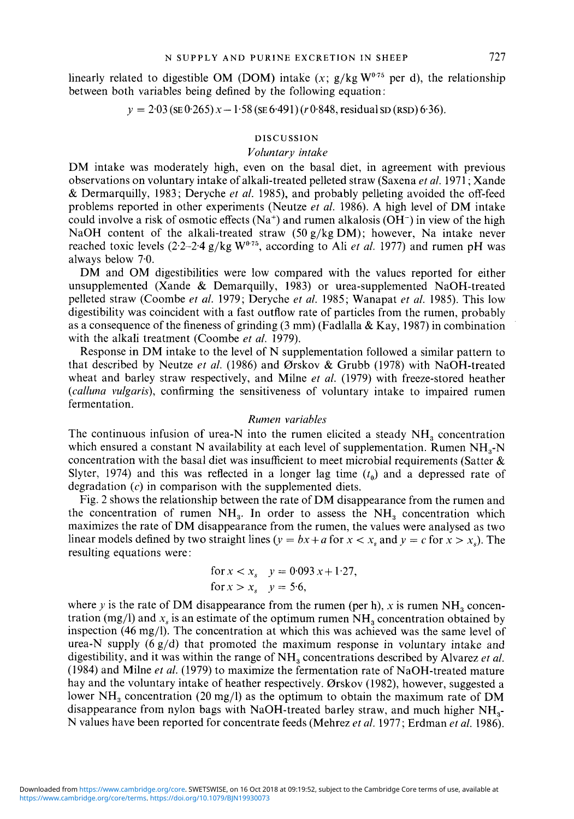linearly related to digestible OM (DOM) intake  $(x; g/kg W<sup>0.75</sup>$  per d), the relationship between both variables being defined by the following equation :

 $y = 2.03$  (SE 0.265)  $x - 1.58$  (SE 6.491) *(r 0.848, residual SD (RSD) 6.36).* 

## DISCUSSION

## *Voluntary intake*

DM intake was moderately high, even on the basal diet, in agreement with previous observations on voluntary intake of alkali-treated pelleted straw (Saxena *eta/.* <sup>1971</sup>; Xande & Dermarquilly, 1983; Deryche *et al.* 1985), and probably pelleting avoided the off-feed problems reported in other experiments (Neutze *et al.* 1986). A high level of DM intake could involve a risk of osmotic effects ( $Na^+$ ) and rumen alkalosis (OH<sup>-</sup>) in view of the high NaOH content of the alkali-treated straw  $(50 g/kg DM)$ ; however, Na intake never reached toxic levels  $(2.2-2.4 \text{ g/kg W}^{0.75})$ , according to Ali *et al.* 1977) and rumen pH was always below 7.0.

DM and OM digestibilities were low compared with the values reported for either unsupplemented (Xande & Demarquilly, 1983) or urea-supplemented NaOH-treated pelleted straw (Coombe *et at.* 1979; Deryche *et al.* 1985; Wanapat *et al.* 1985). This low digestibility was coincident with a fast outflow rate of particles from the rumen, probably as a consequence of the fineness of grinding  $(3 \text{ mm})$  (Fadlalla & Kay, 1987) in combination with the alkali treatment (Coombe *et at.* 1979).

Response in DM intake to the level of N supplementation followed a similar pattern to that described by Neutze *et al.* (1986) and 0rskov & Grubb (1978) with NaOH-treated wheat and barley straw respectively, and Milne *et al.* (1979) with freeze-stored heather *(calluna* vulgaris), confirming the sensitiveness of voluntary intake to impaired rumen fermentation.

#### *Rumen* variables

The continuous infusion of urea-N into the rumen elicited a steady  $NH<sub>3</sub>$  concentration which ensured a constant N availability at each level of supplementation. Rumen  $NH<sub>3</sub>-N$ concentration with the basal diet was insufficient to meet microbial requirements (Satter  $\&$ Slyter, 1974) and this was reflected in a longer lag time  $(t<sub>0</sub>)$  and a depressed rate of degradation *(c)* in comparison with the supplemented diets.

Fig. 2 shows the relationship between the rate of DM disappearance from the rumen and the concentration of rumen  $NH<sub>3</sub>$ . In order to assess the  $NH<sub>3</sub>$  concentration which maximizes the rate of DM disappearance from the rumen, the values were analysed as two linear models defined by two straight lines ( $y = bx + a$  for  $x < x$ , and  $y = c$  for  $x > x$ .). The resulting equations were:

for 
$$
x < x_s
$$
  $y = 0.093 x + 1.27$ ,  
for  $x > x_s$   $y = 5.6$ ,

where *y* is the rate of DM disappearance from the rumen (per h), x is rumen  $NH<sub>a</sub>$  concentration (mg/l) and  $x<sub>s</sub>$  is an estimate of the optimum rumen NH<sub>3</sub> concentration obtained by inspection (46 mg/l). The concentration at which this was achieved was the same level of urea-N supply (6 g/d) that promoted the maximum response in voluntary intake and digestibility, and it was within the range of NH, concentrations described by Alvarez *et at.*  (1984) and Milne *et al.* (1979) to maximize the fermentation rate of NaOH-treated mature hay and the voluntary intake of heather respectively. Ørskov (1982), however, suggested a lower  $NH<sub>3</sub>$  concentration (20 mg/l) as the optimum to obtain the maximum rate of DM disappearance from nylon bags with NaOH-treated barley straw, and much higher NH,- N values have been reported for concentrate feeds (Mehrez *et al.* 1977; Erdman *et al.* 1986).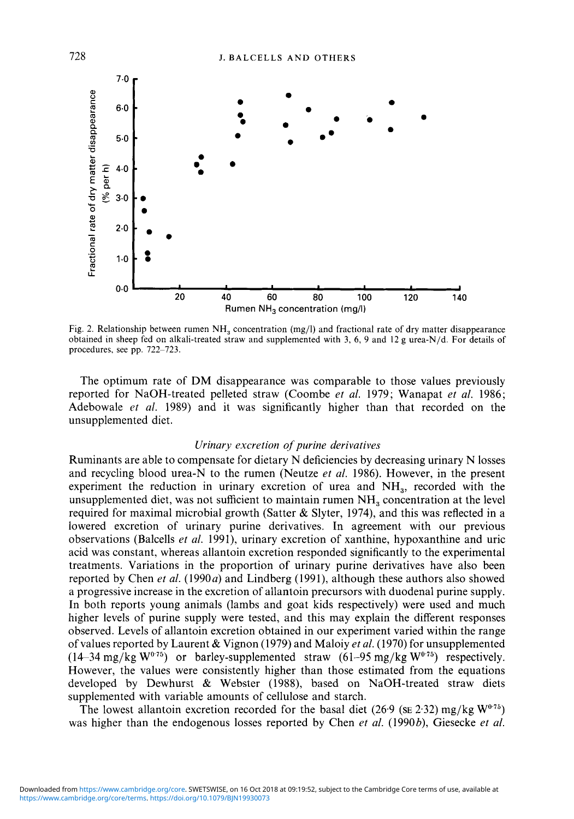

Fig. 2. Relationship between rumen  $NH<sub>3</sub>$  concentration (mg/l) and fractional rate of dry matter disappearance obtained in sheep fed on alkali-treated straw and supplemented with *3, 6,* 9 and 12 **g** urea-N/d. For details of procedures, see pp. 722-723.

The optimum rate of DM disappearance was comparable to those values previously reported for NaOH-treated pelleted straw (Coombe *et al.* 1979; Wanapat *et al.* 1986; Adebowale *et al.* 1989) and it was significantly higher than that recorded on the unsupplemented diet.

## *Urinary excretion of purine derivatives*

Ruminants are able to compensate for dietary N deficiencies by decreasing urinary N losses and recycling blood urea-N to the rumen (Neutze *et al.* 1986). However, in the present experiment the reduction in urinary excretion of urea and NH<sub>3</sub>, recorded with the unsupplemented diet, was not sufficient to maintain rumen  $NH<sub>a</sub>$  concentration at the level required for maximal microbial growth (Satter  $&$  Slyter, 1974), and this was reflected in a lowered excretion of urinary purine derivatives. In agreement with our previous observations (Balcells *et al.* 1991), urinary excretion of xanthine, hypoxanthine and uric acid was constant, whereas allantoin excretion responded significantly to the experimental treatments. Variations in the proportion of urinary purine derivatives have also been reported by Chen *et al.*  $(1990a)$  and Lindberg  $(1991)$ , although these authors also showed a progressive increase in the excretion of allantoin precursors with duodenal purine supply. In both reports young animals (lambs and goat kids respectively) were used and much higher levels of purine supply were tested, and this may explain the different responses observed. Levels of allantoin excretion obtained in our experiment varied within the range of values reported by Laurent & Vignon (1979) and Maloiy *et al.* (1970) for unsupplemented  $(14-34 \text{ mg/kg W}^{0.75})$  or barley-supplemented straw  $(61-95 \text{ mg/kg W}^{0.75})$  respectively. However, the values were consistently higher than those estimated from the equations developed by Dewhurst & Webster (1988), based on NaOH-treated straw diets supplemented with variable amounts of cellulose and starch.

The lowest allantoin excretion recorded for the basal diet (26.9 ( $\text{SE } 2.32$ ) mg/kg W<sup>0.75</sup>) was higher than the endogenous losses reported by Chen *et al.* (1990b), Giesecke *et al.*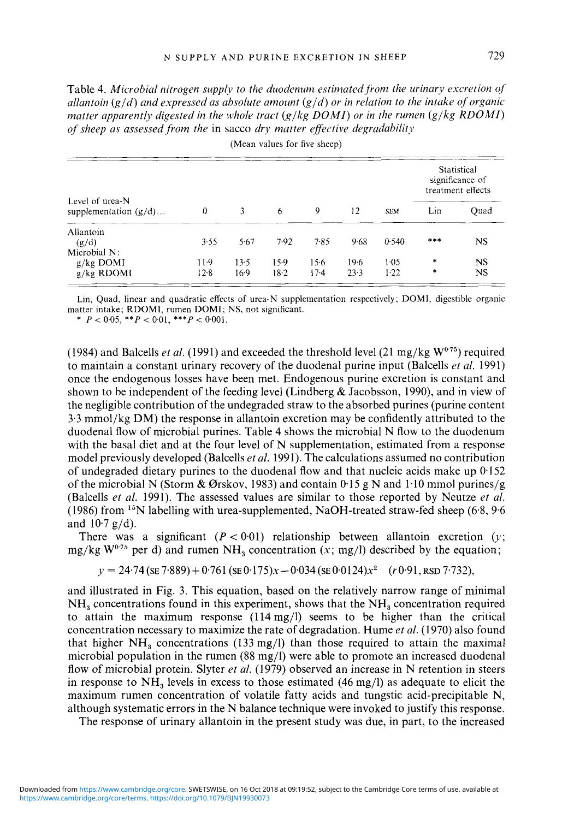Table 4. Microbial nitrogen supply to the duodenum estimated from the urinary excretion of *allantoin*  $(g/d)$  *and expressed as absolute amount*  $(g/d)$  *or in relation to the intake of organic matter apparently digested in the whole tract*  $(g/kg$  *DOMI) or in the rumen*  $(g/kg$  *RDOMI) oj sheep as assessed,from the* in sacco *dry matter effective degradahilitj,* 

| Level of urea-N<br>supplementation $(g/d)$ | $\theta$ | 3    | (Mean values for five sheep)<br>6 | 9      | 12   | <b>SEM</b> | Statistical<br>significance of<br>treatment effects |           |
|--------------------------------------------|----------|------|-----------------------------------|--------|------|------------|-----------------------------------------------------|-----------|
|                                            |          |      |                                   |        |      |            | Lin                                                 | Quad      |
| Allantoin                                  |          |      |                                   |        |      |            |                                                     |           |
| (g/d)                                      | 3.55     | 5.67 | 7.92                              | 7.85   | 9.68 | 0.540      | ***                                                 | NS.       |
| Microbial N:                               |          |      |                                   |        |      |            |                                                     |           |
| $g/kg$ DOMI                                | 11.9     | 13.5 | $15-9$                            | 156    | 19.6 | $1-0.5$    | $\ast$                                              | NS.       |
| $g/kg$ RDOMI                               | $12-8$   | 16.9 | $18-2$                            | $17-4$ | 23.3 | 1.22       | $\star$                                             | <b>NS</b> |

Lin, Quad, linear and quadratic effects of urea-N supplementation respectively; DOMI, digestible organic matter intake; RDOMI, rumen DOMI; NS, not significant.

\* *P* < *0.05, \*\*P* < 0.01, *\*\*\*P* < 0.001.

(1984) and Balcells *et al.* (1991) and exceeded the threshold level (21 mg/kg  $W^{0.75}$ ) required to maintain a constant urinary recovery of the duodenal purine input (Balcells *et al.* 1991) once the endogenous losses have been met. Endogenous purine excretion is constant and shown to be independent of the feeding level (Lindberg & Jacobson, 1990), and in view of the negligible contribution of the undegraded straw to the absorbed purines (purine content 3.3 mmol/kg DM) the response in allantoin excretion may be confidently attributed to the duodenal flow of microbial purines. Table 4 shows the microbial N flow to the duodenum with the basal diet and at the four level of N supplementation, estimated from a response model previously developed (Balcells *et al.* 1991). The calculations assumed no contribution of undegraded dietary purines to the duodenal flow and that nucleic acids make up  $0.152$ of the microbial N (Storm & Ørskov, 1983) and contain 0.15 g N and 1.10 mmol purines/g (Balcells *et al.* 1991). The assessed values are similar to those reported by Neutze *et al.*  (1986) from  $15N$  labelling with urea-supplemented, NaOH-treated straw-fed sheep (6.8, 9.6) and  $10.7$  g/d).

There was a significant  $(P < 0.01)$  relationship between allantoin excretion  $(y;$ mg/kg  $W^{0.75}$  per d) and rumen NH<sub>3</sub> concentration (x; mg/l) described by the equation;

$$
y = 24.74 \, (\text{se } 7.889) + 0.761 \, (\text{se } 0.175)x - 0.034 \, (\text{se } 0.0124)x^2 \quad (r \, 0.91, \text{RSD } 7.732),
$$

and illustrated in Fig. 3. This equation, based on the relatively narrow range of minimal  $NH<sub>a</sub>$  concentrations found in this experiment, shows that the  $NH<sub>a</sub>$  concentration required to attain the maximum response  $(114 \text{ mg/l})$  seems to be higher than the critical concentration necessary to maximize the rate of degradation. Hume *et al.* (1970) also found that higher  $NH<sub>a</sub>$  concentrations (133 mg/l) than those required to attain the maximal microbial population in the rumen (88 mg/l) were able to promote an increased duodenal flow of microbial protein. Slyter *et al.* (1979) observed an increase in N retention in steers in response to  $NH<sub>3</sub>$  levels in excess to those estimated (46 mg/l) as adequate to elicit the maximum rumen concentration of volatile fatty acids and tungstic acid-precipitable N, although systematic errors in the N balance technique were invoked to justify this response.

The response of urinary allantoin in the present study was due, in part, to the increased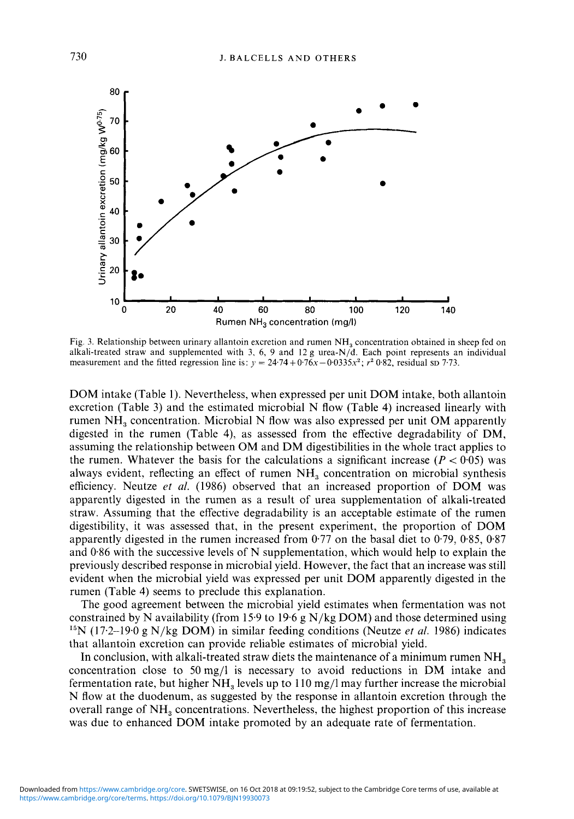

Fig. 3. Relationship between urinary allantoin excretion and rumen NH, concentration obtained in sheep fed on alkali-treated straw and supplemented with 3, *6,* 9 and 12 g urea-N/d. Each point represents an individual measurement and the fitted regression line is:  $y = 24.74 + 0.76x - 0.0335x^2$ ;  $r^2 0.82$ , residual sp 7.73.

DOM intake (Table 1). Nevertheless, when expressed per unit DOM intake, both allantoin excretion (Table 3) and the estimated microbial N flow (Table 4) increased linearly with rumen NH, concentration. Microbial N flow was also expressed per unit OM apparently digested in the rumen (Table **4),** as assessed from the effective degradability of DM, assuming the relationship between OM and DM digestibilities in the whole tract applies to the rumen. Whatever the basis for the calculations a significant increase  $(P < 0.05)$  was always evident, reflecting an effect of rumen  $NH<sub>3</sub>$  concentration on microbial synthesis efficiency. Neutze *et ai.* (1986) observed that an increased proportion of DOM was apparently digested in the rumen as a result of urea supplementation of alkali-treated straw. Assuming that the effective degradability is an acceptable estimate of the rumen digestibility, it was assessed that, in the present experiment, the proportion of DOM apparently digested in the rumen increased from 0.77 on the basal diet to 0.79, 0.85, 0.87 and 0.86 with the successive levels of N supplementation, which would help to explain the previously described response in microbial yield. However, the fact that an increase was still evident when the microbial yield was expressed per unit DOM apparently digested in the rumen (Table **4)** seems to preclude this explanation.

The good agreement between the microbial yield estimates when fermentation was not constrained by N availability (from 15.9 to 19.6 g  $N/kg$  DOM) and those determined using <sup>15</sup>N (17.2-19.0 g N/kg DOM) in similar feeding conditions (Neutze *et al.* 1986) indicates that allantoin excretion can provide reliable estimates of microbial yield.

In conclusion, with alkali-treated straw diets the maintenance of a minimum rumen NH, concentration close to 50mg/l is necessary to avoid reductions in DM intake and fermentation rate, but higher  $NH<sub>3</sub>$  levels up to 110 mg/l may further increase the microbial N flow at the duodenum, as suggested by the response in allantoin excretion through the overall range of NH, concentrations. Nevertheless, the highest proportion of this increase was due to enhanced DOM intake promoted by an adequate rate of fermentation.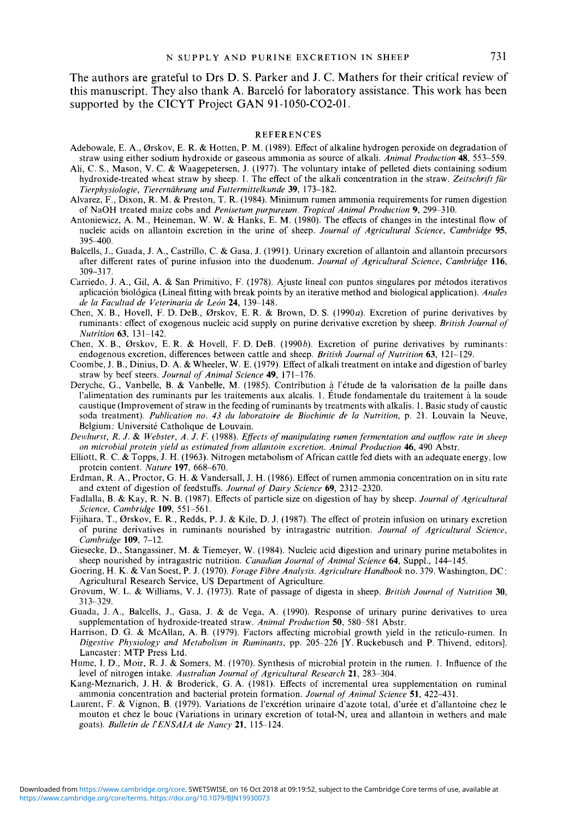The authors are grateful to Drs D. **S.** Parker and J. C. Mathers for their critical review of this manuscript. They also thank **A.** Barcelo for laboratory assistance. This work has been supported by the CICYT Project **GAN** 91-1050-C02-01.

#### **REFERENCES**

- Adebowale, E. A., Ørskov, E. R. & Hotten, P. M. (1989). Effect of alkaline hydrogen peroxide on degradation of straw using either sodium hydroxide or gaseous ammonia as source of alkali. *Animal Production* **48,** 553-559.
- Ah, C. S., Mason, V. C. & Waagepetersen, **J.** (1977). The voluntary intake of pelleted diets containing sodium hydroxide-treated wheat straw by sheep. 1. The effect of the alkali concentration in the straw. Zeitschrift für *Tierphysiologie, Tierernahrung und Futtermittelkunde* **39,** 173-1 82.
- Alvarez, F., Dixon, R. M. & Preston, T. R. (1984). Minimum rumen ammonia requirements for rumen digestion of NaOH treated maize cobs and *Penisetum purpureum. Tropical Animal Production* **9,** 299-310.
- Antoniewicz, A. M., Heineman, W. W. & Hanks, E. M. (1980). The effects of changes in the intestinal flow of nncleic acids on allantoin excretion in the urine of sheep. *Journal qf Agricultural Science, Cambridge* **95,**  395400.
- Balcells, J., Guada, J. A., Castrillo, C. & Gasa, J. (1991). Urinary excretion of allantoin and allantoin precursors after different rates of purine infusion into the duodenum. *Journal of Agricultural Science, Cambridge* **116,**  309-3 17.
- Carriedo, J. A,, Gil, A. & San Primitivo, F. (1978). Ajuste lineal con puntos singulares por metodos iterativos aplicacion biol6gica (Lineal fitting with break points by an iterative method and biological application). *Andes de lu Fucultad de Veterinariu de Leon* **24,** 139-148.
- Chen, **X.** B., Hovell, F. D. DeB., Orskov, E. R. & Brown, D. **S.** (1990~). Excretion of purine derivatives by ruminants: effect of exogenous nucleic acid supply on purine derivative excretion by sheep. *British Journal of Nutrition* **63,** 131-142.
- Chen, **X.** B., Orskov, E. R. & Hovell, F. D. DeB. (1990b). Excretion of purine derivatives by ruminants: endogenous excretion, differences between cattle and sheep. *British Journal of Nutrition* **63**, 121-129.
- Coombe, J. B., Dinius, D. A. &Wheeler, W. E. (1979). Effect of alkali treatment on intake and digestion of barley straw by beef steers. *Journal of Animal Science* **49,** 171-176.
- Deryche, G., Vanbelle, B. & Vanbelle, M. (1985). Contribution à l'étude de la valorisation de la paille dans l'alimentation des ruminants par les traitements aux alcalis. I. Etude fondamentale du traitement a la soude caustique (Improvement of straw in the feeding of ruminants by treatments with alkalis. 1. Basic study of caustic soda treatment). *Publication no. 43 du laboratoire de Biochimie de la Nutrition,* p. 21. Louvain la Neuve, Belgium: Université Catholique de Louvain.
- *Dewhurst, R. J.* & *Webster, A. J. F.* (1988). *Effects qf rnariipuluting rumen,fermentation and outflow rate in sheep on microbial protein yield as estimated from allantoin excretion. Animal Production* **46, 490** Abstr.
- Elliott, R. C. & Topps, J. H. (1963). Nitrogen metabolism of African cattle fed diets with an adequate energy, low protein content. *Nature* **197,** 668-670.
- Erdman, R. A,, Proctor, G. H. & Vandersall, J. H. (1986). Effect of rumen ammonia concentration on in situ rate and extent of digestion of feedstuffs. *Journal qf Dairy Science* **69,** 23 12-2320.
- Fadlalla, B. & Kay, R. N. B. (1987). Effects of particle size on digestion of hay by sheep. *Journal of Agricultural Science, Cambridge* **109,** 551-561.
- Fijihara, T., Orskov, E. R., Redds, P. **J.** & Kile, D. J. (1987). The effect of protein infusion on urinary excretion of purine derivatives in ruminants nourished by intragastric nutrition. *Journal qf Agricultural Science, Cambridge* **109,** 7-12.
- Giesecke, D., Stangassiner, M. & Tiemeyer, W. (1984). Nucleic acid digestion and urinary purine metabolites in sheep nourished by intragastric nutrition. *Canadian Journal of Animal Science* **64,** Suppl., 144-145.
- Goering, H. K. & Van Soest, P. **J.** (1970). *Forage Fibre Analysis. Agriculture Handbook* no. 319. Washington, DC: Agricultural Research Service, US Department of Agriculture.
- Grovum, W. L. & Williams, V. J. (1973). Rate of passage of digesta in sheep. *British Journal* oj *Nutrition* **30,**  3 13-329.
- Guada, J. A., Balcells, **J.,** Gasa, **J.** & de Vega, **A.** (1990). Response of urinary purine derivatives to urea supplementation of hydroxide-treated straw. *Animal Production* **SO,** 580-58 1 Abstr.
- Harrison, D. G. & McAllan, A. B. (1979). Factors affecting microbial growth yield in the reticulo-rumen. In *Digestive Physiology and Metabolism in Ruminants,* pp. 205-226 **[Y.** Ruckebusch and P. Thivend, editors]. Lancaster: MTP Press Ltd.
- Hume, **1.** D., Moir, R. J. & Somers, M. (1970). Synthesis of microbial protein in the rumen. I. Influence of the level of nitrogen intake. *Australian Journal qf Agricultural Research* **21,** 283-304.
- Kang-Meznarich, **J.** H. & Broderick, G. A. (1981). Effects of incremental urea supplementation on ruminal ammonia concentration and bacterial protein formation. *Journul qf Animal Science* **51,** 422-43 1,
- Laurent, F. & Vignon, B. (1979). Variations de I'excretion urinaire d'azote total, d'uree et d'allantoine chez le mouton et chez le bouc (Variations in urinary excretion of total-N, urea and allantoin in wethers and male goats). *Bulletin de I'ENSAIA de Nancy* **21,** 115-124.